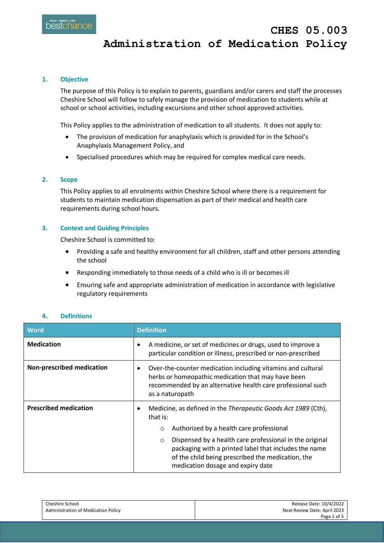# **1. Objective**

The purpose of this Policy is to explain to parents, guardians and/or carers and staff the processes Cheshire School will follow to safely manage the provision of medication to students while at school or school activities, including excursions and other school approved activities.

This Policy applies to the administration of medication to all students. It does not apply to:

- The provision of medication for anaphylaxis which is provided for in the School's Anaphylaxis Management Policy, and
- Specialised procedures which may be required for complex medical care needs.

# **2. Scope**

This Policy applies to all enrolments within Cheshire School where there is a requirement for students to maintain medication dispensation as part of their medical and health care requirements during school hours.

# **3. Context and Guiding Principles**

Cheshire School is committed to:

- Providing a safe and healthy environment for all children, staff and other persons attending the school
- Responding immediately to those needs of a child who is ill or becomes ill
- Ensuring safe and appropriate administration of medication in accordance with legislative regulatory requirements

# **4. Definitions**

| <b>Word</b>                      | <b>Definition</b>                                                                                                                                                                                                     |
|----------------------------------|-----------------------------------------------------------------------------------------------------------------------------------------------------------------------------------------------------------------------|
| <b>Medication</b>                | A medicine, or set of medicines or drugs, used to improve a<br>particular condition or illness, prescribed or non-prescribed                                                                                          |
| <b>Non-prescribed medication</b> | Over-the-counter medication including vitamins and cultural<br>٠<br>herbs or homeopathic medication that may have been<br>recommended by an alternative health care professional such<br>as a naturopath              |
| <b>Prescribed medication</b>     | Medicine, as defined in the Therapeutic Goods Act 1989 (Cth),<br>that is:                                                                                                                                             |
|                                  | Authorized by a health care professional<br>$\circ$                                                                                                                                                                   |
|                                  | Dispensed by a health care professional in the original<br>$\circ$<br>packaging with a printed label that includes the name<br>of the child being prescribed the medication, the<br>medication dosage and expiry date |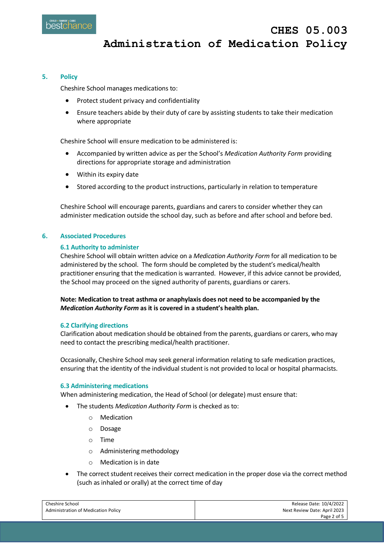## **5. Policy**

Cheshire School manages medications to:

- Protect student privacy and confidentiality
- Ensure teachers abide by their duty of care by assisting students to take their medication where appropriate

Cheshire School will ensure medication to be administered is:

- Accompanied by written advice as per the School's *Medication Authority Form* providing directions for appropriate storage and administration
- Within its expiry date
- Stored according to the product instructions, particularly in relation to temperature

Cheshire School will encourage parents, guardians and carers to consider whether they can administer medication outside the school day, such as before and after school and before bed.

## **6. Associated Procedures**

### **6.1 Authority to administer**

Cheshire School will obtain written advice on a *Medication Authority Form* for all medication to be administered by the school. The form should be completed by the student's medical/health practitioner ensuring that the medication is warranted. However, if this advice cannot be provided, the School may proceed on the signed authority of parents, guardians or carers.

**Note: Medication to treat asthma or anaphylaxis does not need to be accompanied by the**  *Medication Authority Form* **as it is covered in a student's health plan.**

### **6.2 Clarifying directions**

Clarification about medication should be obtained from the parents, guardians or carers, who may need to contact the prescribing medical/health practitioner.

Occasionally, Cheshire School may seek general information relating to safe medication practices, ensuring that the identity of the individual student is not provided to local or hospital pharmacists.

### **6.3 Administering medications**

When administering medication, the Head of School (or delegate) must ensure that:

- The students *Medication Authority Form* is checked as to:
	- o Medication
	- o Dosage
	- o Time
	- o Administering methodology
	- o Medication is in date
- The correct student receives their correct medication in the proper dose via the correct method (such as inhaled or orally) at the correct time of day

| Cheshire School                            | Release Date: 10/4/2022      |
|--------------------------------------------|------------------------------|
| <b>Administration of Medication Policy</b> | Next Review Date: April 2023 |
|                                            | Page 2 of 5                  |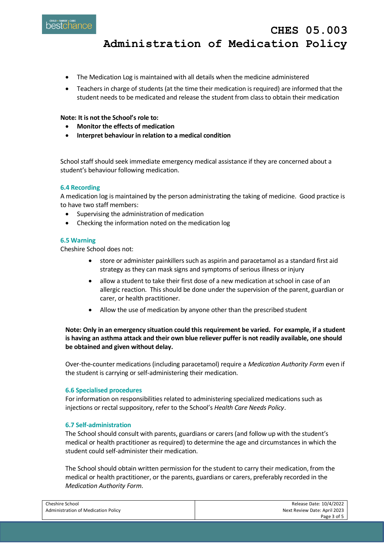**CHES 05.003 Administration of Medication Policy**

- The Medication Log is maintained with all details when the medicine administered
- Teachers in charge of students (at the time their medication is required) are informed that the student needs to be medicated and release the student from class to obtain their medication

## **Note: It is not the School's role to:**

- **Monitor the effects of medication**
- **Interpret behaviour in relation to a medical condition**

School staff should seek immediate emergency medical assistance if they are concerned about a student's behaviour following medication.

## **6.4 Recording**

A medication log is maintained by the person administrating the taking of medicine. Good practice is to have two staff members:

- Supervising the administration of medication
- Checking the information noted on the medication log

## **6.5 Warning**

Cheshire School does not:

- store or administer painkillers such as aspirin and paracetamol as a standard first aid strategy as they can mask signs and symptoms of serious illness or injury
- allow a student to take their first dose of a new medication at school in case of an allergic reaction. This should be done under the supervision of the parent, guardian or carer, or health practitioner.
- Allow the use of medication by anyone other than the prescribed student

# **Note: Only in an emergency situation could this requirement be varied. For example, if a student is having an asthma attack and their own blue reliever puffer is not readily available, one should be obtained and given without delay.**

Over-the-counter medications (including paracetamol) require a *Medication Authority Form* even if the student is carrying or self-administering their medication.

### **6.6 Specialised procedures**

For information on responsibilities related to administering specialized medications such as injections or rectal suppository, refer to the School's *Health Care Needs Policy*.

### **6.7 Self-administration**

The School should consult with parents, guardians or carers (and follow up with the student's medical or health practitioner as required) to determine the age and circumstances in which the student could self-administer their medication.

The School should obtain written permission for the student to carry their medication, from the medical or health practitioner, or the parents, guardians or carers, preferably recorded in the *Medication Authority Form*.

| Cheshire School                     | Release Date: 10/4/2022      |
|-------------------------------------|------------------------------|
| Administration of Medication Policy | Next Review Date: April 2023 |
|                                     | Page 3 of 5                  |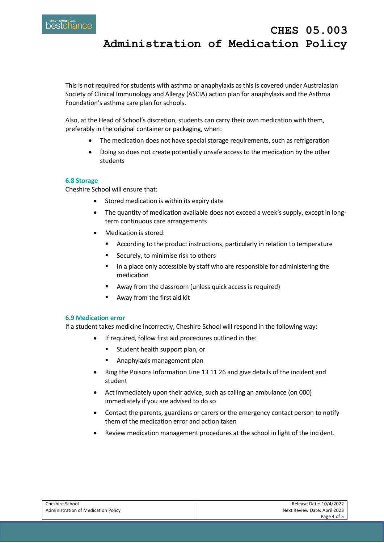**Administration of Medication Policy**

**CHES 05.003** 

This is not required for students with asthma or anaphylaxis as this is covered under Australasian Society of Clinical Immunology and Allergy (ASCIA) action plan for anaphylaxis and the Asthma Foundation's asthma care plan for schools.

Also, at the Head of School's discretion, students can carry their own medication with them, preferably in the original container or packaging, when:

- The medication does not have special storage requirements, such as refrigeration
- Doing so does not create potentially unsafe access to the medication by the other students

# **6.8 Storage**

Cheshire School will ensure that:

- Stored medication is within its expiry date
- The quantity of medication available does not exceed a week's supply, except in longterm continuous care arrangements
- Medication is stored:
	- **EXTENDING** According to the product instructions, particularly in relation to temperature
	- Securely, to minimise risk to others
	- In a place only accessible by staff who are responsible for administering the medication
	- Away from the classroom (unless quick access is required)
	- Away from the first aid kit

### **6.9 Medication error**

If a student takes medicine incorrectly, Cheshire School will respond in the following way:

- If required, follow first aid procedures outlined in the:
	- **EXECUTE:** Student health support plan, or
	- Anaphylaxis management plan
- Ring the Poisons Information Line 13 11 26 and give details of the incident and student
- Act immediately upon their advice, such as calling an ambulance (on 000) immediately if you are advised to do so
- Contact the parents, guardians or carers or the emergency contact person to notify them of the medication error and action taken
- Review medication management procedures at the school in light of the incident.